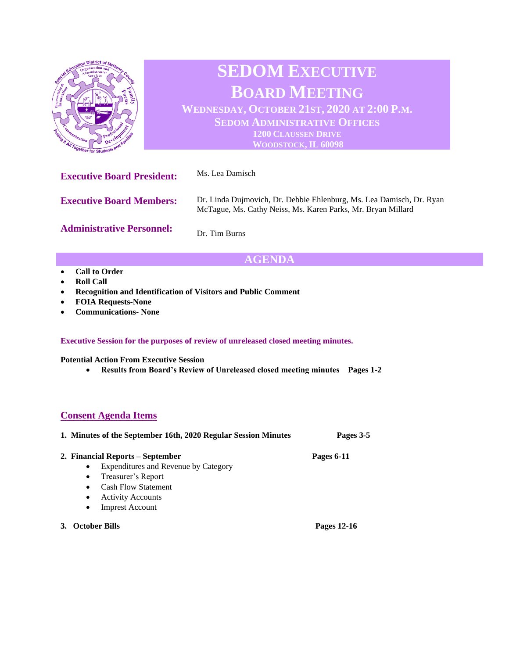

# **SEDOM EXECUTIVE BOARD MEETING**

**WEDNESDAY, OCTOBER 21ST, 2020 AT 2:00 P.M. SEDOM ADMINISTRATIVE OFFICES 1200 CLAUSSEN DRIVE WOODSTOCK, IL 60098**

| <b>Executive Board President:</b> | Ms. Lea Damisch                                                                                                                      |
|-----------------------------------|--------------------------------------------------------------------------------------------------------------------------------------|
| <b>Executive Board Members:</b>   | Dr. Linda Dujmovich, Dr. Debbie Ehlenburg, Ms. Lea Damisch, Dr. Ryan<br>McTague, Ms. Cathy Neiss, Ms. Karen Parks, Mr. Bryan Millard |
| <b>Administrative Personnel:</b>  | Dr. Tim Burns                                                                                                                        |

## **AGENDA**

- **Call to Order**
- **Roll Call**
- **Recognition and Identification of Visitors and Public Comment**
- **FOIA Requests-None**
- **Communications- None**

#### **Executive Session for the purposes of review of unreleased closed meeting minutes.**

**Potential Action From Executive Session**

• **Results from Board's Review of Unreleased closed meeting minutes Pages 1-2**

### **Consent Agenda Items**

| 1. Minutes of the September 16th, 2020 Regular Session Minutes |  | Pages 3-5   |
|----------------------------------------------------------------|--|-------------|
| 2. Financial Reports – September                               |  | Pages 6-11  |
| <b>Expenditures and Revenue by Category</b><br>$\bullet$       |  |             |
| Treasurer's Report<br>$\bullet$                                |  |             |
| <b>Cash Flow Statement</b><br>$\bullet$                        |  |             |
| <b>Activity Accounts</b><br>$\bullet$                          |  |             |
| <b>Imprest Account</b><br>$\bullet$                            |  |             |
| <b>October Bills</b>                                           |  | Pages 12-16 |